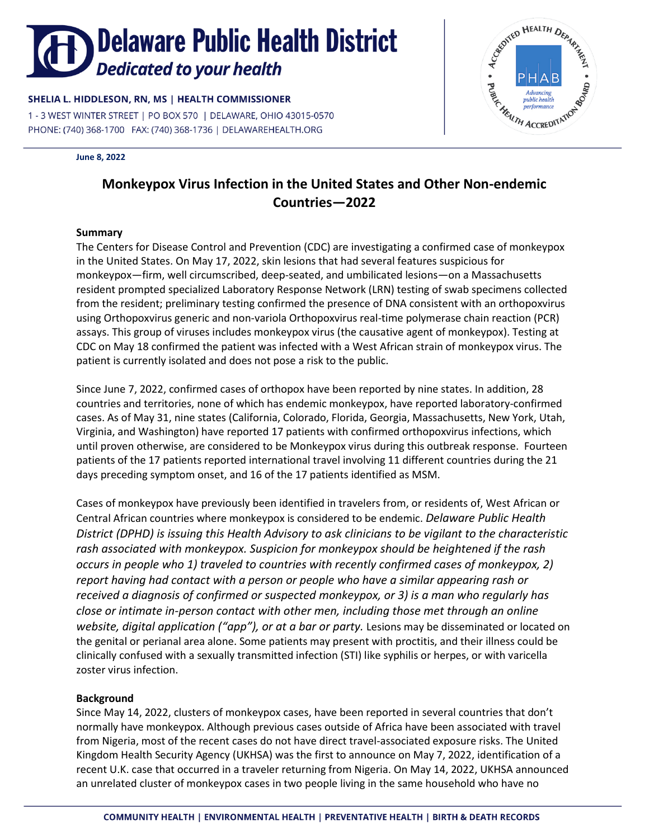# **Delaware Public Health District** Dedicated to your health

# SHELIA L. HIDDLESON, RN, MS | HEALTH COMMISSIONER

1 - 3 WEST WINTER STREET | PO BOX 570 | DELAWARE, OHIO 43015-0570 PHONE: (740) 368-1700 FAX: (740) 368-1736 | DELAWAREHEALTH.ORG

#### **June 8, 2022**



# **Monkeypox Virus Infection in the United States and Other Non-endemic Countries—2022**

## **Summary**

The Centers for Disease Control and Prevention (CDC) are investigating a confirmed case of monkeypox in the United States. On May 17, 2022, skin lesions that had several features suspicious for monkeypox—firm, well circumscribed, deep-seated, and umbilicated lesions—on a Massachusetts resident prompted specialized Laboratory Response Network (LRN) testing of swab specimens collected from the resident; preliminary testing confirmed the presence of DNA consistent with an orthopoxvirus using Orthopoxvirus generic and non-variola Orthopoxvirus real-time polymerase chain reaction (PCR) assays. This group of viruses includes monkeypox virus (the causative agent of monkeypox). Testing at CDC on May 18 confirmed the patient was infected with a West African strain of monkeypox virus. The patient is currently isolated and does not pose a risk to the public.

Since June 7, 2022, confirmed cases of orthopox have been reported by nine states. In addition, 28 countries and territories, none of which has endemic monkeypox, have reported laboratory-confirmed cases. As of May 31, nine states (California, Colorado, Florida, Georgia, Massachusetts, New York, Utah, Virginia, and Washington) have reported 17 patients with confirmed orthopoxvirus infections, which until proven otherwise, are considered to be Monkeypox virus during this outbreak response. Fourteen patients of the 17 patients reported international travel involving 11 different countries during the 21 days preceding symptom onset, and 16 of the 17 patients identified as MSM.

Cases of monkeypox have previously been identified in travelers from, or residents of, West African or Central African countries where monkeypox is considered to be endemic. *Delaware Public Health District (DPHD) is issuing this Health Advisory to ask clinicians to be vigilant to the characteristic rash associated with monkeypox. Suspicion for monkeypox should be heightened if the rash occurs in people who 1) traveled to countries with recently confirmed cases of monkeypox, 2) report having had contact with a person or people who have a similar appearing rash or received a diagnosis of confirmed or suspected monkeypox, or 3) is a man who regularly has close or intimate in-person contact with other men, including those met through an online website, digital application ("app"), or at a bar or party.* Lesions may be disseminated or located on the genital or perianal area alone. Some patients may present with proctitis, and their illness could be clinically confused with a sexually transmitted infection (STI) like syphilis or herpes, or with varicella zoster virus infection.

## **Background**

Since May 14, 2022, clusters of monkeypox cases, have been reported in several countries that don't normally have monkeypox. Although previous cases outside of Africa have been associated with travel from Nigeria, most of the recent cases do not have direct travel-associated exposure risks. The United Kingdom Health Security Agency (UKHSA) was the first to announce on May 7, 2022, identification of a recent U.K. case that occurred in a traveler returning from Nigeria. On May 14, 2022, UKHSA announced an unrelated cluster of monkeypox cases in two people living in the same household who have no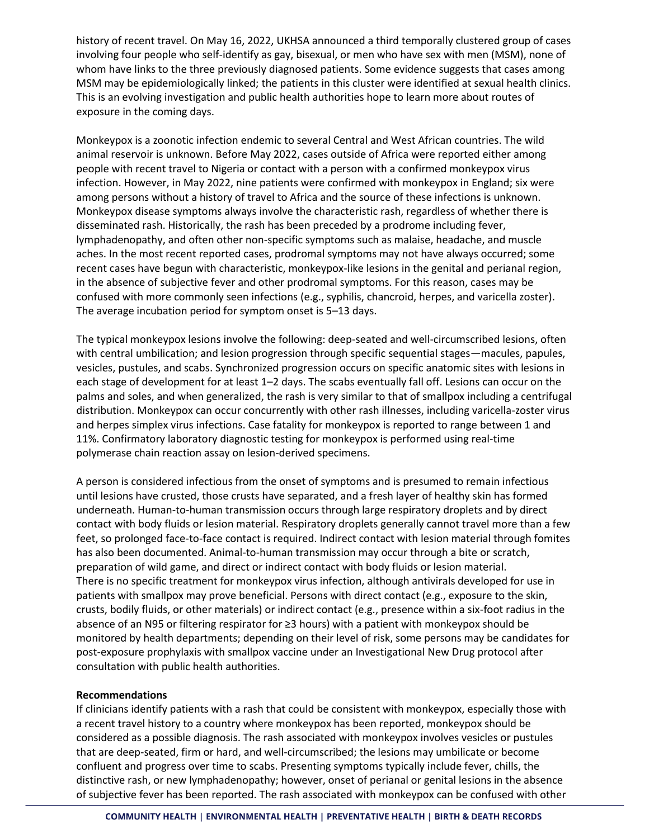history of recent travel. On May 16, 2022, UKHSA announced a third temporally clustered group of cases involving four people who self-identify as gay, bisexual, or men who have sex with men (MSM), none of whom have links to the three previously diagnosed patients. Some evidence suggests that cases among MSM may be epidemiologically linked; the patients in this cluster were identified at sexual health clinics. This is an evolving investigation and public health authorities hope to learn more about routes of exposure in the coming days.

[Monkeypox](https://www.cdc.gov/poxvirus/monkeypox/) is a zoonotic infection endemic to several Central and West African countries. The wild animal reservoir is unknown. Before May 2022, cases outside of Africa were reported either among people with recent travel to Nigeria or contact with a person with a confirmed monkeypox virus infection. However, in May 2022, nine patients were confirmed with monkeypox in England; six were among persons without a history of travel to Africa and the source of these infections is unknown. Monkeypox disease symptoms always involve the characteristic rash, regardless of whether there is disseminated rash. Historically, the rash has been preceded by a prodrome including fever, lymphadenopathy, and often other non-specific symptoms such as malaise, headache, and muscle aches. In the most recent reported cases, prodromal symptoms may not have always occurred; some recent cases have begun with characteristic, monkeypox-like lesions in the genital and perianal region, in the absence of subjective fever and other prodromal symptoms. For this reason, cases may be confused with more commonly seen infections (e.g., syphilis, chancroid, herpes, and varicella zoster). The average incubation period for symptom onset is 5–13 days.

The typical monkeypox lesions involve the following: deep-seated and well-circumscribed lesions, often with central umbilication; and lesion progression through specific sequential stages—macules, papules, vesicles, pustules, and scabs. Synchronized progression occurs on specific anatomic sites with lesions in each stage of development for at least 1–2 days. The scabs eventually fall off. Lesions can occur on the palms and soles, and when generalized, the rash is very similar to that of smallpox including a centrifugal distribution. Monkeypox can occur concurrently with other rash illnesses, including varicella-zoster virus and herpes simplex virus infections. Case fatality for monkeypox is reported to range between 1 and 11%. Confirmatory laboratory diagnostic testing for monkeypox is performed using real-time polymerase chain reaction assay on lesion-derived specimens.

A person is considered infectious from the onset of symptoms and is presumed to remain infectious until lesions have crusted, those crusts have separated, and a fresh layer of healthy skin has formed underneath. Human-to-human transmission occurs through large respiratory droplets and by direct contact with body fluids or lesion material. Respiratory droplets generally cannot travel more than a few feet, so prolonged face-to-face contact is required. Indirect contact with lesion material through fomites has also been documented. Animal-to-human transmission may occur through a bite or scratch, preparation of wild game, and direct or indirect contact with body fluids or lesion material. There is no specific treatment for monkeypox virus infection, although antivirals developed for use in patients with smallpox may prove beneficial. Persons with direct contact (e.g., exposure to the skin, crusts, bodily fluids, or other materials) or indirect contact (e.g., presence within a six-foot radius in the absence of an N95 or filtering respirator for ≥3 hours) with a patient with monkeypox should be monitored by health departments; depending on their level of risk, some persons may be candidates for post-exposure prophylaxis with smallpox vaccine under an Investigational New Drug protocol after consultation with public health authorities.

## **Recommendations**

If clinicians identify patients with a rash that could be consistent with monkeypox, especially those with a recent travel history to a country where monkeypox has been reported, monkeypox should be considered as a possible diagnosis. The rash associated with monkeypox involves vesicles or pustules that are deep-seated, firm or hard, and well-circumscribed; the lesions may umbilicate or become confluent and progress over time to scabs. Presenting symptoms typically include fever, chills, the distinctive rash, or new lymphadenopathy; however, onset of perianal or genital lesions in the absence of subjective fever has been reported. The rash associated with monkeypox can be confused with other